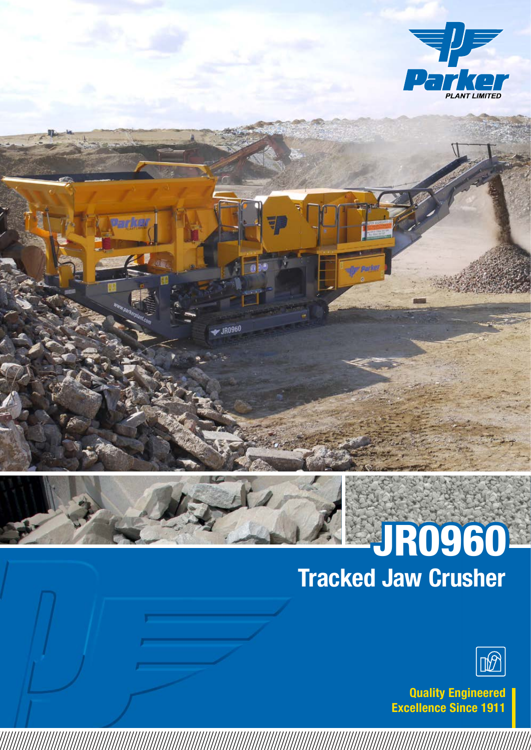



**IR0960** 

## Tracked Jaw Crusher JR0960



Quality Engineered Excellence Since 1911